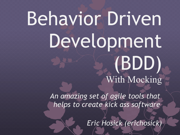# Behavior Driven Development (BDD) With Mocking

*An amazing set of agile tools that helps to create kick ass software*

*Eric Hosick (erichosick)*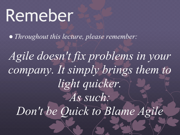## Remeber

*● Throughout this lecture, please remember:*

*Agile doesn't fix problems in your company. It simply brings them to light quicker. As such: Don't be Quick to Blame Agile*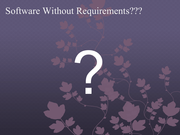#### Software Without Requirements???

**1999**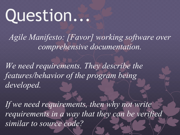## Question...

*Agile Manifesto: [Favor] working software over comprehensive documentation.*

*We need requirements. They describe the features/behavior of the program being developed.*

If we need requirements, then why not write *requirements in a way that they can be verified similar to source code?*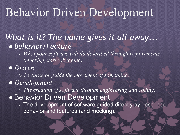### Behavior Driven Development

#### *What is it? The name gives it all away... ● Behavior/Feature*

*○ What your software will do described through requirements (mocking,stories,begging).*

*● Driven*

*○ To cause or guide the movement of something.*

*● Development*

*○ The creation of software through engineering and coding. ●* Behavior Driven Development *○* The development of software guided directly by described behavior and features (and mocking).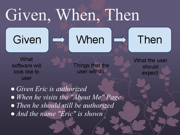## Given, When, Then

Given





### Then

What software will look like to user

Things that the user will do.

**What the user** should expect.

*● Given Eric is authorized ● When he visits the "About Me" Page ● Then he should still be authorized ● And the name "Eric" is shown*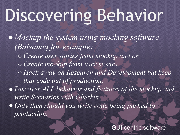# Discovering Behavior

*● Mockup the system using mocking software (Balsamiq for example). ○ Create user stories from mockup and or ○ Create mockup from user stories ○ Hack away on Research and Development but keep that code out of production. ● Discover ALL behavior and features of the mockup and write Scenarios with Gherkin ● Only then should you write code being pushed to production.*

JI centric software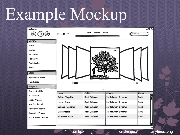### Example Mockup



http://balsamiq.wpengine.netdna-cdn.com/images/samples/mytunez.png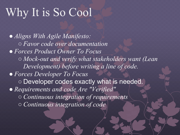### Why It is So Cool

*● Aligns With Agile Manifesto: ○ Favor code over documentation ● Forces Product Owner To Focus ○ Mock-out and verify what stakeholders want (Lean Development) before writing a line of code. ● Forces Developer To Focus ○* Developer codes exactly what is needed. *● Requirements and code Are "Verified" ○ Continuous integration of requirements ○ Continuous integration of code*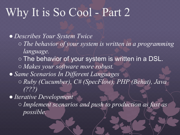### Why It is So Cool - Part 2

*● Describes Your System Twice ○ The behavior of your system is written in a programming language. ○* The behavior of your system is written in a DSL. *○ Makes your software more robust. ● Same Scenarios In Different Languages ○ Ruby (Cucumber), C# (SpecFlow), PHP (Behat), Java (???) ● Iterative Development ○ Implement scenarios and push to production as fast as possible.*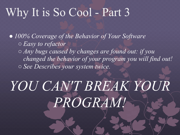#### Why It is So Cool - Part 3

*● 100% Coverage of the Behavior of Your Software ○ Easy to refactor ○ Any bugs caused by changes are found out: if you changed the behavior of your program you will find out!*

*○ See Describes your system twice.*

### *YOU CAN'T BREAK YOUR PROGRAM!*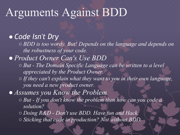#### Arguments Against BDD

#### *● Code Isn't Dry*

*○ BDD is too wordy. But! Depends on the language and depends on the robustness of your code.*

#### *● Product Owner Can's Use BDD*

- *○ But The Domain Specific Language can be written to a level appreciated by the Product Owner.*
- *○ If they can't explain what they want to you in their own language, you need a new product owner.*

*● Assumes you Know the Problem*

- *○ But If you don't know the problem then how can you code a solution?*
- *○ Doing R&D Don't use BDD. Have fun and Hack.*
- *○ Sticking that code in production? Not without BDD.*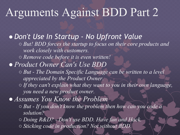#### Arguments Against BDD Part 2

*● Don't Use In Startup - No Upfront Value ○ But! BDD forces the startup to focus on their core products and work closely with customers. ○ Remove code before it is even written! ● Product Owner Can's Use BDD ○ But - The Domain Specific Language can be written to a level appreciated by the Product Owner. ○ If they can't explain what they want to you in their own language, you need a new product owner. ● Assumes You Know the Problem ○ But - If you don't know the problem then how can you code a solution? ○ Doing R&D? - Don't use BDD. Have fun and Hack.*

*○ Sticking code in production? Not without BDD.*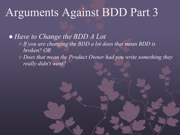#### Arguments Against BDD Part 3

*● Have to Change the BDD A Lot ○ If you are changing the BDD a lot does that mean BDD is broken? OR ○ Does that mean the Product Owner had you write something they really didn't want?*